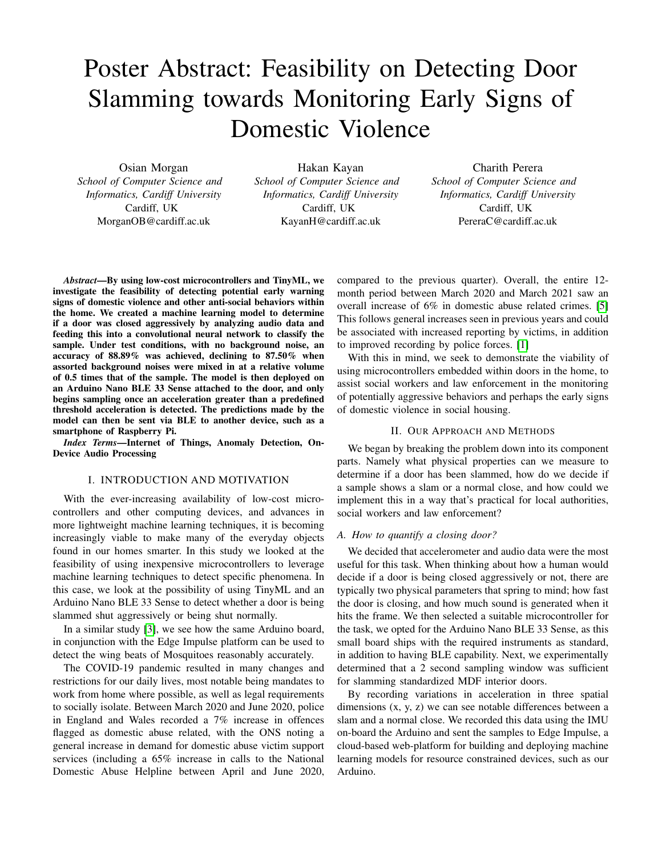# Poster Abstract: Feasibility on Detecting Door Slamming towards Monitoring Early Signs of Domestic Violence

Osian Morgan *School of Computer Science and Informatics, Cardiff University* Cardiff, UK MorganOB@cardiff.ac.uk

Hakan Kayan *School of Computer Science and Informatics, Cardiff University* Cardiff, UK KayanH@cardiff.ac.uk

Charith Perera *School of Computer Science and Informatics, Cardiff University* Cardiff, UK PereraC@cardiff.ac.uk

*Abstract*—By using low-cost microcontrollers and TinyML, we investigate the feasibility of detecting potential early warning signs of domestic violence and other anti-social behaviors within the home. We created a machine learning model to determine if a door was closed aggressively by analyzing audio data and feeding this into a convolutional neural network to classify the sample. Under test conditions, with no background noise, an accuracy of 88.89% was achieved, declining to 87.50% when assorted background noises were mixed in at a relative volume of 0.5 times that of the sample. The model is then deployed on an Arduino Nano BLE 33 Sense attached to the door, and only begins sampling once an acceleration greater than a predefined threshold acceleration is detected. The predictions made by the model can then be sent via BLE to another device, such as a smartphone of Raspberry Pi.

*Index Terms*—Internet of Things, Anomaly Detection, On-Device Audio Processing

### I. INTRODUCTION AND MOTIVATION

With the ever-increasing availability of low-cost microcontrollers and other computing devices, and advances in more lightweight machine learning techniques, it is becoming increasingly viable to make many of the everyday objects found in our homes smarter. In this study we looked at the feasibility of using inexpensive microcontrollers to leverage machine learning techniques to detect specific phenomena. In this case, we look at the possibility of using TinyML and an Arduino Nano BLE 33 Sense to detect whether a door is being slammed shut aggressively or being shut normally.

In a similar study [\[3\]](#page-1-0), we see how the same Arduino board, in conjunction with the Edge Impulse platform can be used to detect the wing beats of Mosquitoes reasonably accurately.

The COVID-19 pandemic resulted in many changes and restrictions for our daily lives, most notable being mandates to work from home where possible, as well as legal requirements to socially isolate. Between March 2020 and June 2020, police in England and Wales recorded a 7% increase in offences flagged as domestic abuse related, with the ONS noting a general increase in demand for domestic abuse victim support services (including a 65% increase in calls to the National Domestic Abuse Helpline between April and June 2020, compared to the previous quarter). Overall, the entire 12 month period between March 2020 and March 2021 saw an overall increase of 6% in domestic abuse related crimes. [\[5\]](#page-1-1) This follows general increases seen in previous years and could be associated with increased reporting by victims, in addition to improved recording by police forces. [\[1\]](#page-1-2)

With this in mind, we seek to demonstrate the viability of using microcontrollers embedded within doors in the home, to assist social workers and law enforcement in the monitoring of potentially aggressive behaviors and perhaps the early signs of domestic violence in social housing.

## II. OUR APPROACH AND METHODS

We began by breaking the problem down into its component parts. Namely what physical properties can we measure to determine if a door has been slammed, how do we decide if a sample shows a slam or a normal close, and how could we implement this in a way that's practical for local authorities, social workers and law enforcement?

#### *A. How to quantify a closing door?*

We decided that accelerometer and audio data were the most useful for this task. When thinking about how a human would decide if a door is being closed aggressively or not, there are typically two physical parameters that spring to mind; how fast the door is closing, and how much sound is generated when it hits the frame. We then selected a suitable microcontroller for the task, we opted for the Arduino Nano BLE 33 Sense, as this small board ships with the required instruments as standard, in addition to having BLE capability. Next, we experimentally determined that a 2 second sampling window was sufficient for slamming standardized MDF interior doors.

By recording variations in acceleration in three spatial dimensions (x, y, z) we can see notable differences between a slam and a normal close. We recorded this data using the IMU on-board the Arduino and sent the samples to Edge Impulse, a cloud-based web-platform for building and deploying machine learning models for resource constrained devices, such as our Arduino.